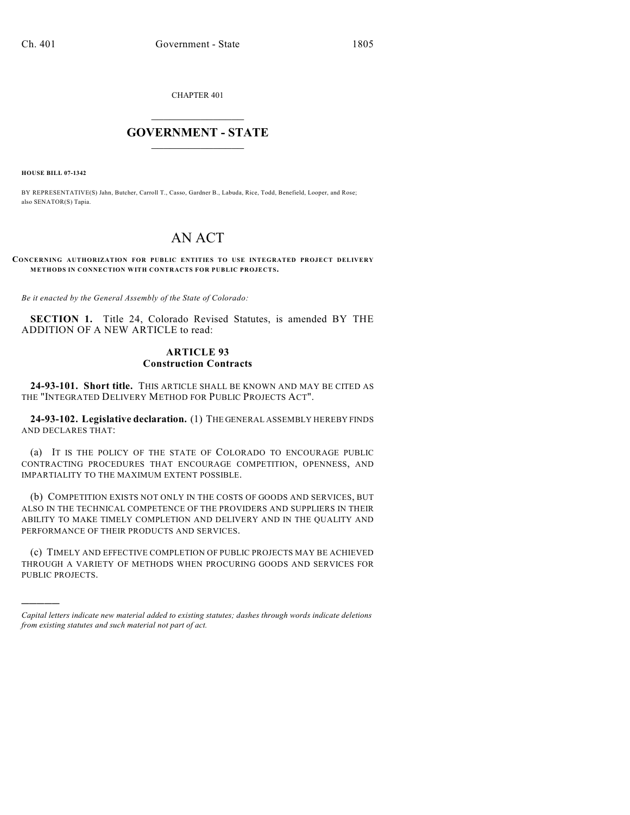CHAPTER 401

# $\overline{\phantom{a}}$  . The set of the set of the set of the set of the set of the set of the set of the set of the set of the set of the set of the set of the set of the set of the set of the set of the set of the set of the set o **GOVERNMENT - STATE**  $\_$

**HOUSE BILL 07-1342**

)))))

BY REPRESENTATIVE(S) Jahn, Butcher, Carroll T., Casso, Gardner B., Labuda, Rice, Todd, Benefield, Looper, and Rose; also SENATOR(S) Tapia.

# AN ACT

**CONCERNING AUTHORIZATION FOR PUBLIC ENTITIES TO USE INTEGRATED PROJECT DELIVERY METHODS IN CONNECTION WITH CONTRACTS FOR PUBLIC PROJECTS.**

*Be it enacted by the General Assembly of the State of Colorado:*

**SECTION 1.** Title 24, Colorado Revised Statutes, is amended BY THE ADDITION OF A NEW ARTICLE to read:

### **ARTICLE 93 Construction Contracts**

**24-93-101. Short title.** THIS ARTICLE SHALL BE KNOWN AND MAY BE CITED AS THE "INTEGRATED DELIVERY METHOD FOR PUBLIC PROJECTS ACT".

**24-93-102. Legislative declaration.** (1) THE GENERAL ASSEMBLY HEREBY FINDS AND DECLARES THAT:

(a) IT IS THE POLICY OF THE STATE OF COLORADO TO ENCOURAGE PUBLIC CONTRACTING PROCEDURES THAT ENCOURAGE COMPETITION, OPENNESS, AND IMPARTIALITY TO THE MAXIMUM EXTENT POSSIBLE.

(b) COMPETITION EXISTS NOT ONLY IN THE COSTS OF GOODS AND SERVICES, BUT ALSO IN THE TECHNICAL COMPETENCE OF THE PROVIDERS AND SUPPLIERS IN THEIR ABILITY TO MAKE TIMELY COMPLETION AND DELIVERY AND IN THE QUALITY AND PERFORMANCE OF THEIR PRODUCTS AND SERVICES.

(c) TIMELY AND EFFECTIVE COMPLETION OF PUBLIC PROJECTS MAY BE ACHIEVED THROUGH A VARIETY OF METHODS WHEN PROCURING GOODS AND SERVICES FOR PUBLIC PROJECTS.

*Capital letters indicate new material added to existing statutes; dashes through words indicate deletions from existing statutes and such material not part of act.*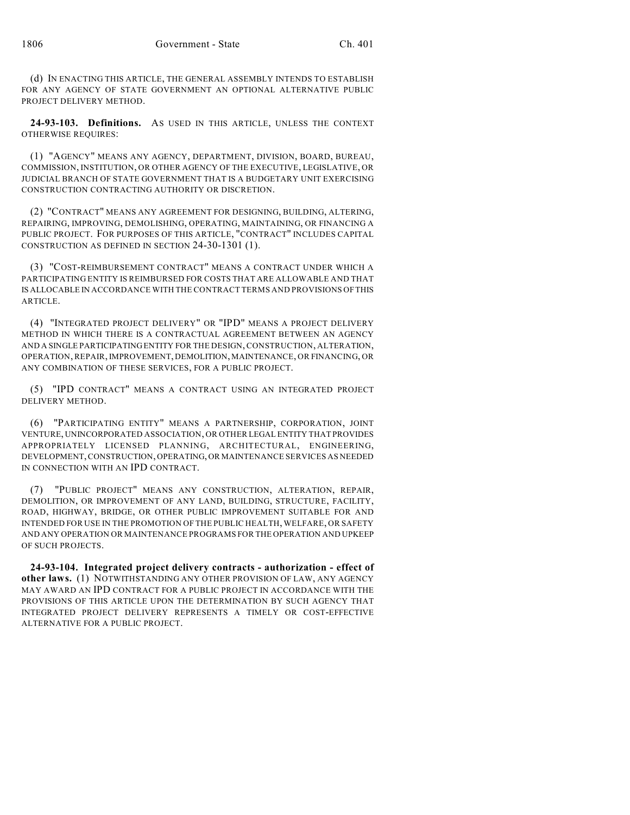(d) IN ENACTING THIS ARTICLE, THE GENERAL ASSEMBLY INTENDS TO ESTABLISH FOR ANY AGENCY OF STATE GOVERNMENT AN OPTIONAL ALTERNATIVE PUBLIC PROJECT DELIVERY METHOD.

**24-93-103. Definitions.** AS USED IN THIS ARTICLE, UNLESS THE CONTEXT OTHERWISE REQUIRES:

(1) "AGENCY" MEANS ANY AGENCY, DEPARTMENT, DIVISION, BOARD, BUREAU, COMMISSION, INSTITUTION, OR OTHER AGENCY OF THE EXECUTIVE, LEGISLATIVE, OR JUDICIAL BRANCH OF STATE GOVERNMENT THAT IS A BUDGETARY UNIT EXERCISING CONSTRUCTION CONTRACTING AUTHORITY OR DISCRETION.

(2) "CONTRACT" MEANS ANY AGREEMENT FOR DESIGNING, BUILDING, ALTERING, REPAIRING, IMPROVING, DEMOLISHING, OPERATING, MAINTAINING, OR FINANCING A PUBLIC PROJECT. FOR PURPOSES OF THIS ARTICLE, "CONTRACT" INCLUDES CAPITAL CONSTRUCTION AS DEFINED IN SECTION 24-30-1301 (1).

(3) "COST-REIMBURSEMENT CONTRACT" MEANS A CONTRACT UNDER WHICH A PARTICIPATING ENTITY IS REIMBURSED FOR COSTS THAT ARE ALLOWABLE AND THAT IS ALLOCABLE IN ACCORDANCE WITH THE CONTRACT TERMS AND PROVISIONS OF THIS ARTICLE.

(4) "INTEGRATED PROJECT DELIVERY" OR "IPD" MEANS A PROJECT DELIVERY METHOD IN WHICH THERE IS A CONTRACTUAL AGREEMENT BETWEEN AN AGENCY AND A SINGLE PARTICIPATING ENTITY FOR THE DESIGN, CONSTRUCTION, ALTERATION, OPERATION, REPAIR, IMPROVEMENT, DEMOLITION, MAINTENANCE, OR FINANCING, OR ANY COMBINATION OF THESE SERVICES, FOR A PUBLIC PROJECT.

(5) "IPD CONTRACT" MEANS A CONTRACT USING AN INTEGRATED PROJECT DELIVERY METHOD.

(6) "PARTICIPATING ENTITY" MEANS A PARTNERSHIP, CORPORATION, JOINT VENTURE, UNINCORPORATED ASSOCIATION, OR OTHER LEGAL ENTITY THAT PROVIDES APPROPRIATELY LICENSED PLANNING, ARCHITECTURAL, ENGINEERING, DEVELOPMENT, CONSTRUCTION, OPERATING, OR MAINTENANCE SERVICES AS NEEDED IN CONNECTION WITH AN IPD CONTRACT.

(7) "PUBLIC PROJECT" MEANS ANY CONSTRUCTION, ALTERATION, REPAIR, DEMOLITION, OR IMPROVEMENT OF ANY LAND, BUILDING, STRUCTURE, FACILITY, ROAD, HIGHWAY, BRIDGE, OR OTHER PUBLIC IMPROVEMENT SUITABLE FOR AND INTENDED FOR USE IN THE PROMOTION OF THE PUBLIC HEALTH, WELFARE, OR SAFETY AND ANY OPERATION OR MAINTENANCE PROGRAMS FOR THE OPERATION AND UPKEEP OF SUCH PROJECTS.

**24-93-104. Integrated project delivery contracts - authorization - effect of other laws.** (1) NOTWITHSTANDING ANY OTHER PROVISION OF LAW, ANY AGENCY MAY AWARD AN IPD CONTRACT FOR A PUBLIC PROJECT IN ACCORDANCE WITH THE PROVISIONS OF THIS ARTICLE UPON THE DETERMINATION BY SUCH AGENCY THAT INTEGRATED PROJECT DELIVERY REPRESENTS A TIMELY OR COST-EFFECTIVE ALTERNATIVE FOR A PUBLIC PROJECT.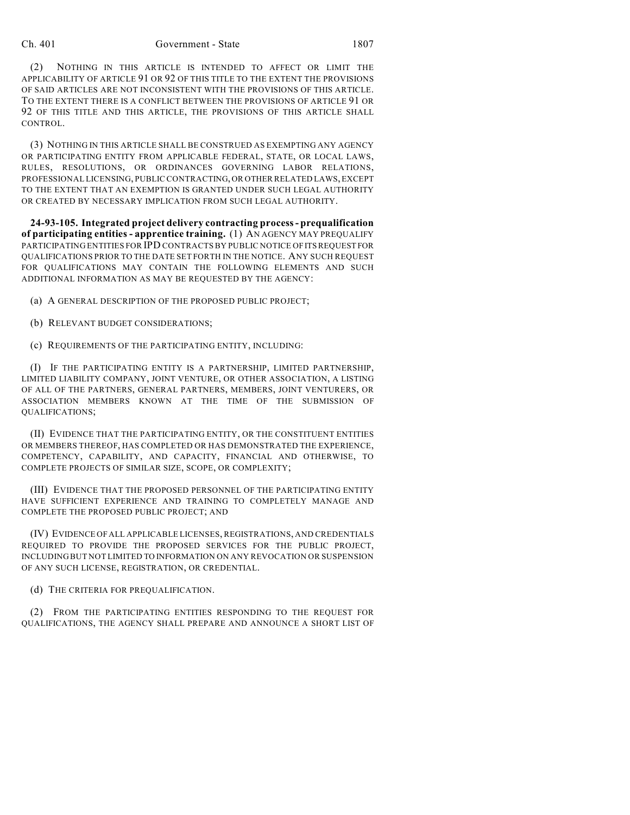(2) NOTHING IN THIS ARTICLE IS INTENDED TO AFFECT OR LIMIT THE APPLICABILITY OF ARTICLE 91 OR 92 OF THIS TITLE TO THE EXTENT THE PROVISIONS OF SAID ARTICLES ARE NOT INCONSISTENT WITH THE PROVISIONS OF THIS ARTICLE. TO THE EXTENT THERE IS A CONFLICT BETWEEN THE PROVISIONS OF ARTICLE 91 OR 92 OF THIS TITLE AND THIS ARTICLE, THE PROVISIONS OF THIS ARTICLE SHALL CONTROL.

(3) NOTHING IN THIS ARTICLE SHALL BE CONSTRUED AS EXEMPTING ANY AGENCY OR PARTICIPATING ENTITY FROM APPLICABLE FEDERAL, STATE, OR LOCAL LAWS, RULES, RESOLUTIONS, OR ORDINANCES GOVERNING LABOR RELATIONS, PROFESSIONAL LICENSING, PUBLIC CONTRACTING, OR OTHER RELATED LAWS, EXCEPT TO THE EXTENT THAT AN EXEMPTION IS GRANTED UNDER SUCH LEGAL AUTHORITY OR CREATED BY NECESSARY IMPLICATION FROM SUCH LEGAL AUTHORITY.

**24-93-105. Integrated project delivery contracting process - prequalification of participating entities - apprentice training.** (1) AN AGENCY MAY PREQUALIFY PARTICIPATING ENTITIES FOR IPD CONTRACTS BY PUBLIC NOTICE OF ITS REQUEST FOR QUALIFICATIONS PRIOR TO THE DATE SET FORTH IN THE NOTICE. ANY SUCH REQUEST FOR QUALIFICATIONS MAY CONTAIN THE FOLLOWING ELEMENTS AND SUCH ADDITIONAL INFORMATION AS MAY BE REQUESTED BY THE AGENCY:

(a) A GENERAL DESCRIPTION OF THE PROPOSED PUBLIC PROJECT;

(b) RELEVANT BUDGET CONSIDERATIONS;

(c) REQUIREMENTS OF THE PARTICIPATING ENTITY, INCLUDING:

(I) IF THE PARTICIPATING ENTITY IS A PARTNERSHIP, LIMITED PARTNERSHIP, LIMITED LIABILITY COMPANY, JOINT VENTURE, OR OTHER ASSOCIATION, A LISTING OF ALL OF THE PARTNERS, GENERAL PARTNERS, MEMBERS, JOINT VENTURERS, OR ASSOCIATION MEMBERS KNOWN AT THE TIME OF THE SUBMISSION OF QUALIFICATIONS;

(II) EVIDENCE THAT THE PARTICIPATING ENTITY, OR THE CONSTITUENT ENTITIES OR MEMBERS THEREOF, HAS COMPLETED OR HAS DEMONSTRATED THE EXPERIENCE, COMPETENCY, CAPABILITY, AND CAPACITY, FINANCIAL AND OTHERWISE, TO COMPLETE PROJECTS OF SIMILAR SIZE, SCOPE, OR COMPLEXITY;

(III) EVIDENCE THAT THE PROPOSED PERSONNEL OF THE PARTICIPATING ENTITY HAVE SUFFICIENT EXPERIENCE AND TRAINING TO COMPLETELY MANAGE AND COMPLETE THE PROPOSED PUBLIC PROJECT; AND

(IV) EVIDENCE OF ALL APPLICABLE LICENSES, REGISTRATIONS, AND CREDENTIALS REQUIRED TO PROVIDE THE PROPOSED SERVICES FOR THE PUBLIC PROJECT, INCLUDING BUT NOT LIMITED TO INFORMATION ON ANY REVOCATION OR SUSPENSION OF ANY SUCH LICENSE, REGISTRATION, OR CREDENTIAL.

(d) THE CRITERIA FOR PREQUALIFICATION.

(2) FROM THE PARTICIPATING ENTITIES RESPONDING TO THE REQUEST FOR QUALIFICATIONS, THE AGENCY SHALL PREPARE AND ANNOUNCE A SHORT LIST OF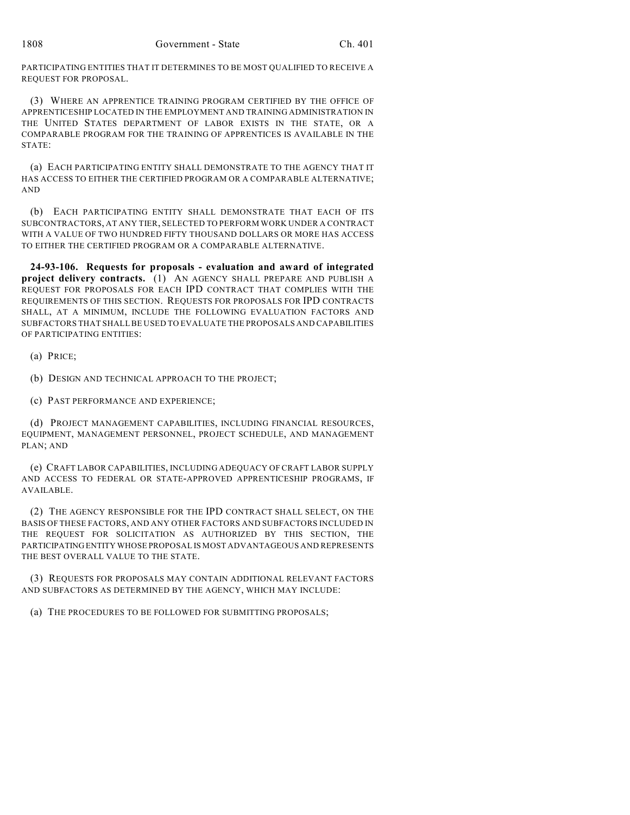PARTICIPATING ENTITIES THAT IT DETERMINES TO BE MOST QUALIFIED TO RECEIVE A REQUEST FOR PROPOSAL.

(3) WHERE AN APPRENTICE TRAINING PROGRAM CERTIFIED BY THE OFFICE OF APPRENTICESHIP LOCATED IN THE EMPLOYMENT AND TRAINING ADMINISTRATION IN THE UNITED STATES DEPARTMENT OF LABOR EXISTS IN THE STATE, OR A COMPARABLE PROGRAM FOR THE TRAINING OF APPRENTICES IS AVAILABLE IN THE  $STATF$ 

(a) EACH PARTICIPATING ENTITY SHALL DEMONSTRATE TO THE AGENCY THAT IT HAS ACCESS TO EITHER THE CERTIFIED PROGRAM OR A COMPARABLE ALTERNATIVE; AND

(b) EACH PARTICIPATING ENTITY SHALL DEMONSTRATE THAT EACH OF ITS SUBCONTRACTORS, AT ANY TIER, SELECTED TO PERFORM WORK UNDER A CONTRACT WITH A VALUE OF TWO HUNDRED FIFTY THOUSAND DOLLARS OR MORE HAS ACCESS TO EITHER THE CERTIFIED PROGRAM OR A COMPARABLE ALTERNATIVE.

**24-93-106. Requests for proposals - evaluation and award of integrated project delivery contracts.** (1) AN AGENCY SHALL PREPARE AND PUBLISH A REQUEST FOR PROPOSALS FOR EACH IPD CONTRACT THAT COMPLIES WITH THE REQUIREMENTS OF THIS SECTION. REQUESTS FOR PROPOSALS FOR IPD CONTRACTS SHALL, AT A MINIMUM, INCLUDE THE FOLLOWING EVALUATION FACTORS AND SUBFACTORS THAT SHALL BE USED TO EVALUATE THE PROPOSALS AND CAPABILITIES OF PARTICIPATING ENTITIES:

(a) PRICE;

(b) DESIGN AND TECHNICAL APPROACH TO THE PROJECT;

(c) PAST PERFORMANCE AND EXPERIENCE;

(d) PROJECT MANAGEMENT CAPABILITIES, INCLUDING FINANCIAL RESOURCES, EQUIPMENT, MANAGEMENT PERSONNEL, PROJECT SCHEDULE, AND MANAGEMENT PLAN; AND

(e) CRAFT LABOR CAPABILITIES, INCLUDING ADEQUACY OF CRAFT LABOR SUPPLY AND ACCESS TO FEDERAL OR STATE-APPROVED APPRENTICESHIP PROGRAMS, IF AVAILABLE.

(2) THE AGENCY RESPONSIBLE FOR THE IPD CONTRACT SHALL SELECT, ON THE BASIS OF THESE FACTORS, AND ANY OTHER FACTORS AND SUBFACTORS INCLUDED IN THE REQUEST FOR SOLICITATION AS AUTHORIZED BY THIS SECTION, THE PARTICIPATING ENTITY WHOSE PROPOSAL IS MOST ADVANTAGEOUS AND REPRESENTS THE BEST OVERALL VALUE TO THE STATE.

(3) REQUESTS FOR PROPOSALS MAY CONTAIN ADDITIONAL RELEVANT FACTORS AND SUBFACTORS AS DETERMINED BY THE AGENCY, WHICH MAY INCLUDE:

(a) THE PROCEDURES TO BE FOLLOWED FOR SUBMITTING PROPOSALS;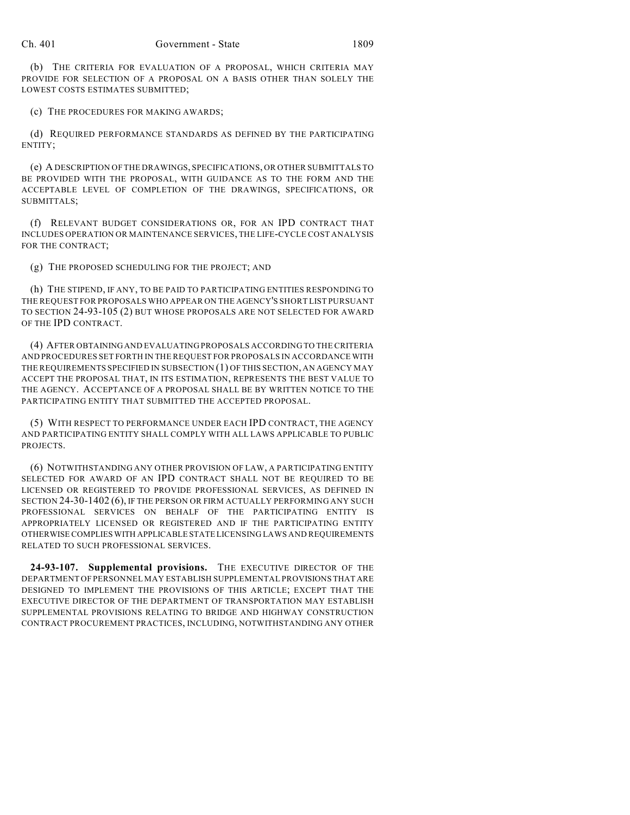(b) THE CRITERIA FOR EVALUATION OF A PROPOSAL, WHICH CRITERIA MAY PROVIDE FOR SELECTION OF A PROPOSAL ON A BASIS OTHER THAN SOLELY THE LOWEST COSTS ESTIMATES SUBMITTED;

(c) THE PROCEDURES FOR MAKING AWARDS;

(d) REQUIRED PERFORMANCE STANDARDS AS DEFINED BY THE PARTICIPATING ENTITY;

(e) A DESCRIPTION OF THE DRAWINGS, SPECIFICATIONS, OR OTHER SUBMITTALS TO BE PROVIDED WITH THE PROPOSAL, WITH GUIDANCE AS TO THE FORM AND THE ACCEPTABLE LEVEL OF COMPLETION OF THE DRAWINGS, SPECIFICATIONS, OR SUBMITTALS;

(f) RELEVANT BUDGET CONSIDERATIONS OR, FOR AN IPD CONTRACT THAT INCLUDES OPERATION OR MAINTENANCE SERVICES, THE LIFE-CYCLE COST ANALYSIS FOR THE CONTRACT;

(g) THE PROPOSED SCHEDULING FOR THE PROJECT; AND

(h) THE STIPEND, IF ANY, TO BE PAID TO PARTICIPATING ENTITIES RESPONDING TO THE REQUEST FOR PROPOSALS WHO APPEAR ON THE AGENCY'S SHORT LIST PURSUANT TO SECTION 24-93-105 (2) BUT WHOSE PROPOSALS ARE NOT SELECTED FOR AWARD OF THE IPD CONTRACT.

(4) AFTER OBTAINING AND EVALUATING PROPOSALS ACCORDING TO THE CRITERIA AND PROCEDURES SET FORTH IN THE REQUEST FOR PROPOSALS IN ACCORDANCE WITH THE REQUIREMENTS SPECIFIED IN SUBSECTION (1) OF THIS SECTION, AN AGENCY MAY ACCEPT THE PROPOSAL THAT, IN ITS ESTIMATION, REPRESENTS THE BEST VALUE TO THE AGENCY. ACCEPTANCE OF A PROPOSAL SHALL BE BY WRITTEN NOTICE TO THE PARTICIPATING ENTITY THAT SUBMITTED THE ACCEPTED PROPOSAL.

(5) WITH RESPECT TO PERFORMANCE UNDER EACH IPD CONTRACT, THE AGENCY AND PARTICIPATING ENTITY SHALL COMPLY WITH ALL LAWS APPLICABLE TO PUBLIC PROJECTS.

(6) NOTWITHSTANDING ANY OTHER PROVISION OF LAW, A PARTICIPATING ENTITY SELECTED FOR AWARD OF AN IPD CONTRACT SHALL NOT BE REQUIRED TO BE LICENSED OR REGISTERED TO PROVIDE PROFESSIONAL SERVICES, AS DEFINED IN SECTION 24-30-1402 (6), IF THE PERSON OR FIRM ACTUALLY PERFORMING ANY SUCH PROFESSIONAL SERVICES ON BEHALF OF THE PARTICIPATING ENTITY IS APPROPRIATELY LICENSED OR REGISTERED AND IF THE PARTICIPATING ENTITY OTHERWISE COMPLIES WITH APPLICABLE STATE LICENSING LAWS AND REQUIREMENTS RELATED TO SUCH PROFESSIONAL SERVICES.

**24-93-107. Supplemental provisions.** THE EXECUTIVE DIRECTOR OF THE DEPARTMENT OF PERSONNEL MAY ESTABLISH SUPPLEMENTAL PROVISIONS THAT ARE DESIGNED TO IMPLEMENT THE PROVISIONS OF THIS ARTICLE; EXCEPT THAT THE EXECUTIVE DIRECTOR OF THE DEPARTMENT OF TRANSPORTATION MAY ESTABLISH SUPPLEMENTAL PROVISIONS RELATING TO BRIDGE AND HIGHWAY CONSTRUCTION CONTRACT PROCUREMENT PRACTICES, INCLUDING, NOTWITHSTANDING ANY OTHER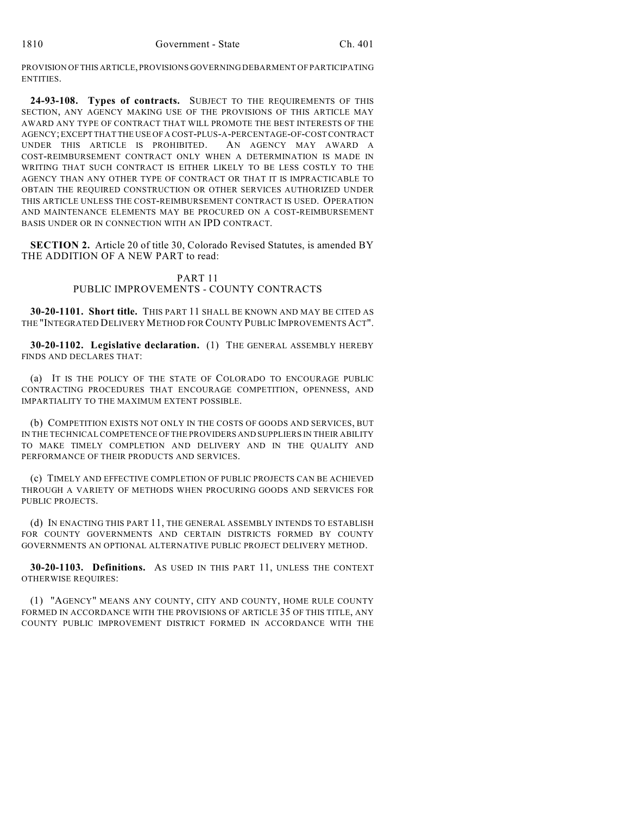PROVISION OF THIS ARTICLE, PROVISIONS GOVERNING DEBARMENT OF PARTICIPATING ENTITIES.

**24-93-108. Types of contracts.** SUBJECT TO THE REQUIREMENTS OF THIS SECTION, ANY AGENCY MAKING USE OF THE PROVISIONS OF THIS ARTICLE MAY AWARD ANY TYPE OF CONTRACT THAT WILL PROMOTE THE BEST INTERESTS OF THE AGENCY; EXCEPT THAT THE USE OF A COST-PLUS-A-PERCENTAGE-OF-COST CONTRACT UNDER THIS ARTICLE IS PROHIBITED. AN AGENCY MAY AWARD A COST-REIMBURSEMENT CONTRACT ONLY WHEN A DETERMINATION IS MADE IN WRITING THAT SUCH CONTRACT IS EITHER LIKELY TO BE LESS COSTLY TO THE AGENCY THAN ANY OTHER TYPE OF CONTRACT OR THAT IT IS IMPRACTICABLE TO OBTAIN THE REQUIRED CONSTRUCTION OR OTHER SERVICES AUTHORIZED UNDER THIS ARTICLE UNLESS THE COST-REIMBURSEMENT CONTRACT IS USED. OPERATION AND MAINTENANCE ELEMENTS MAY BE PROCURED ON A COST-REIMBURSEMENT BASIS UNDER OR IN CONNECTION WITH AN IPD CONTRACT.

**SECTION 2.** Article 20 of title 30, Colorado Revised Statutes, is amended BY THE ADDITION OF A NEW PART to read:

## PART 11 PUBLIC IMPROVEMENTS - COUNTY CONTRACTS

**30-20-1101. Short title.** THIS PART 11 SHALL BE KNOWN AND MAY BE CITED AS THE "INTEGRATED DELIVERY METHOD FOR COUNTY PUBLIC IMPROVEMENTS ACT".

**30-20-1102. Legislative declaration.** (1) THE GENERAL ASSEMBLY HEREBY FINDS AND DECLARES THAT:

(a) IT IS THE POLICY OF THE STATE OF COLORADO TO ENCOURAGE PUBLIC CONTRACTING PROCEDURES THAT ENCOURAGE COMPETITION, OPENNESS, AND IMPARTIALITY TO THE MAXIMUM EXTENT POSSIBLE.

(b) COMPETITION EXISTS NOT ONLY IN THE COSTS OF GOODS AND SERVICES, BUT IN THE TECHNICAL COMPETENCE OF THE PROVIDERS AND SUPPLIERS IN THEIR ABILITY TO MAKE TIMELY COMPLETION AND DELIVERY AND IN THE QUALITY AND PERFORMANCE OF THEIR PRODUCTS AND SERVICES.

(c) TIMELY AND EFFECTIVE COMPLETION OF PUBLIC PROJECTS CAN BE ACHIEVED THROUGH A VARIETY OF METHODS WHEN PROCURING GOODS AND SERVICES FOR PUBLIC PROJECTS.

(d) IN ENACTING THIS PART 11, THE GENERAL ASSEMBLY INTENDS TO ESTABLISH FOR COUNTY GOVERNMENTS AND CERTAIN DISTRICTS FORMED BY COUNTY GOVERNMENTS AN OPTIONAL ALTERNATIVE PUBLIC PROJECT DELIVERY METHOD.

**30-20-1103. Definitions.** AS USED IN THIS PART 11, UNLESS THE CONTEXT OTHERWISE REQUIRES:

(1) "AGENCY" MEANS ANY COUNTY, CITY AND COUNTY, HOME RULE COUNTY FORMED IN ACCORDANCE WITH THE PROVISIONS OF ARTICLE 35 OF THIS TITLE, ANY COUNTY PUBLIC IMPROVEMENT DISTRICT FORMED IN ACCORDANCE WITH THE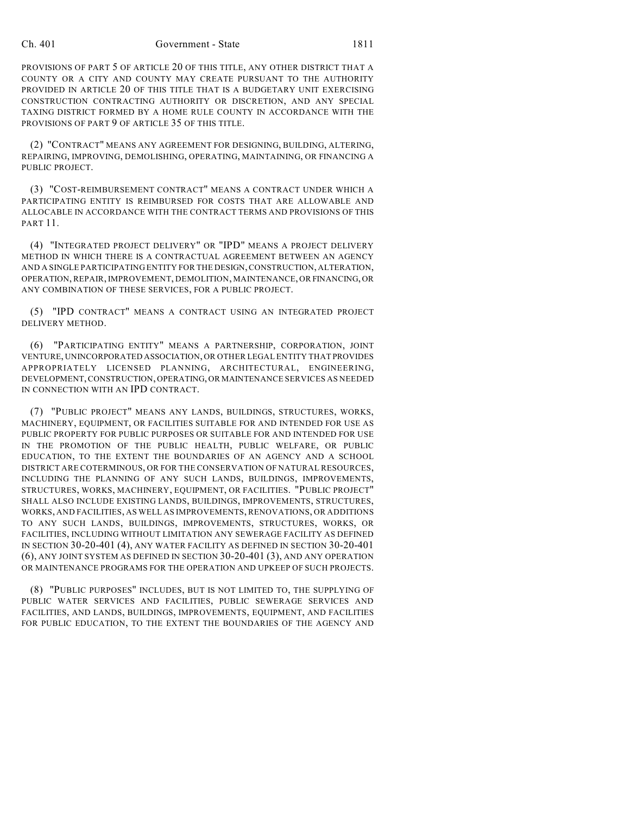#### Ch. 401 Government - State 1811

PROVISIONS OF PART 5 OF ARTICLE 20 OF THIS TITLE, ANY OTHER DISTRICT THAT A COUNTY OR A CITY AND COUNTY MAY CREATE PURSUANT TO THE AUTHORITY PROVIDED IN ARTICLE 20 OF THIS TITLE THAT IS A BUDGETARY UNIT EXERCISING CONSTRUCTION CONTRACTING AUTHORITY OR DISCRETION, AND ANY SPECIAL TAXING DISTRICT FORMED BY A HOME RULE COUNTY IN ACCORDANCE WITH THE PROVISIONS OF PART 9 OF ARTICLE 35 OF THIS TITLE.

(2) "CONTRACT" MEANS ANY AGREEMENT FOR DESIGNING, BUILDING, ALTERING, REPAIRING, IMPROVING, DEMOLISHING, OPERATING, MAINTAINING, OR FINANCING A PUBLIC PROJECT.

(3) "COST-REIMBURSEMENT CONTRACT" MEANS A CONTRACT UNDER WHICH A PARTICIPATING ENTITY IS REIMBURSED FOR COSTS THAT ARE ALLOWABLE AND ALLOCABLE IN ACCORDANCE WITH THE CONTRACT TERMS AND PROVISIONS OF THIS PART 11.

(4) "INTEGRATED PROJECT DELIVERY" OR "IPD" MEANS A PROJECT DELIVERY METHOD IN WHICH THERE IS A CONTRACTUAL AGREEMENT BETWEEN AN AGENCY AND A SINGLE PARTICIPATING ENTITY FOR THE DESIGN, CONSTRUCTION, ALTERATION, OPERATION, REPAIR, IMPROVEMENT, DEMOLITION, MAINTENANCE, OR FINANCING, OR ANY COMBINATION OF THESE SERVICES, FOR A PUBLIC PROJECT.

(5) "IPD CONTRACT" MEANS A CONTRACT USING AN INTEGRATED PROJECT DELIVERY METHOD.

(6) "PARTICIPATING ENTITY" MEANS A PARTNERSHIP, CORPORATION, JOINT VENTURE, UNINCORPORATED ASSOCIATION, OR OTHER LEGAL ENTITY THAT PROVIDES APPROPRIATELY LICENSED PLANNING, ARCHITECTURAL, ENGINEERING, DEVELOPMENT, CONSTRUCTION, OPERATING, OR MAINTENANCE SERVICES AS NEEDED IN CONNECTION WITH AN IPD CONTRACT.

(7) "PUBLIC PROJECT" MEANS ANY LANDS, BUILDINGS, STRUCTURES, WORKS, MACHINERY, EQUIPMENT, OR FACILITIES SUITABLE FOR AND INTENDED FOR USE AS PUBLIC PROPERTY FOR PUBLIC PURPOSES OR SUITABLE FOR AND INTENDED FOR USE IN THE PROMOTION OF THE PUBLIC HEALTH, PUBLIC WELFARE, OR PUBLIC EDUCATION, TO THE EXTENT THE BOUNDARIES OF AN AGENCY AND A SCHOOL DISTRICT ARE COTERMINOUS, OR FOR THE CONSERVATION OF NATURAL RESOURCES, INCLUDING THE PLANNING OF ANY SUCH LANDS, BUILDINGS, IMPROVEMENTS, STRUCTURES, WORKS, MACHINERY, EQUIPMENT, OR FACILITIES. "PUBLIC PROJECT" SHALL ALSO INCLUDE EXISTING LANDS, BUILDINGS, IMPROVEMENTS, STRUCTURES, WORKS, AND FACILITIES, AS WELL AS IMPROVEMENTS, RENOVATIONS, OR ADDITIONS TO ANY SUCH LANDS, BUILDINGS, IMPROVEMENTS, STRUCTURES, WORKS, OR FACILITIES, INCLUDING WITHOUT LIMITATION ANY SEWERAGE FACILITY AS DEFINED IN SECTION 30-20-401 (4), ANY WATER FACILITY AS DEFINED IN SECTION 30-20-401 (6), ANY JOINT SYSTEM AS DEFINED IN SECTION 30-20-401 (3), AND ANY OPERATION OR MAINTENANCE PROGRAMS FOR THE OPERATION AND UPKEEP OF SUCH PROJECTS.

(8) "PUBLIC PURPOSES" INCLUDES, BUT IS NOT LIMITED TO, THE SUPPLYING OF PUBLIC WATER SERVICES AND FACILITIES, PUBLIC SEWERAGE SERVICES AND FACILITIES, AND LANDS, BUILDINGS, IMPROVEMENTS, EQUIPMENT, AND FACILITIES FOR PUBLIC EDUCATION, TO THE EXTENT THE BOUNDARIES OF THE AGENCY AND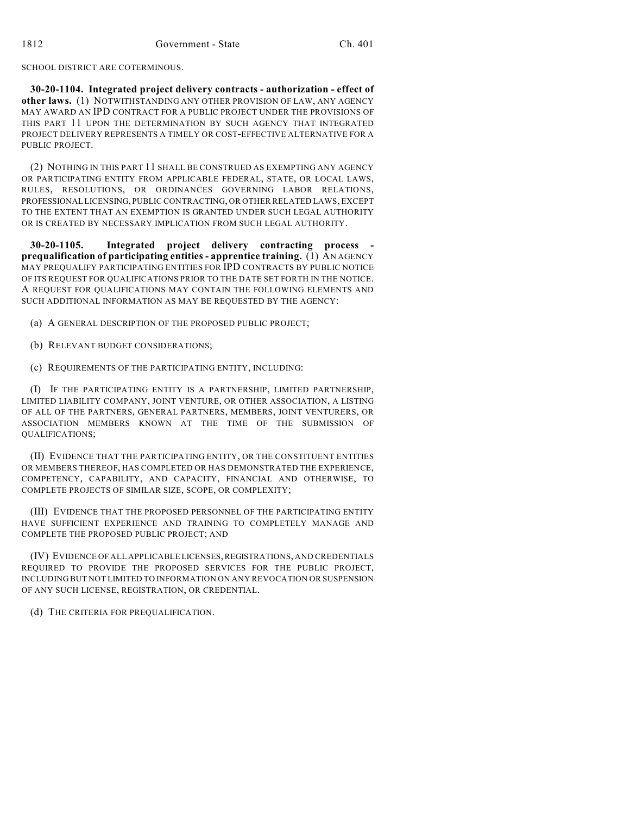SCHOOL DISTRICT ARE COTERMINOUS.

**30-20-1104. Integrated project delivery contracts - authorization - effect of other laws.** (1) NOTWITHSTANDING ANY OTHER PROVISION OF LAW, ANY AGENCY MAY AWARD AN IPD CONTRACT FOR A PUBLIC PROJECT UNDER THE PROVISIONS OF THIS PART 11 UPON THE DETERMINATION BY SUCH AGENCY THAT INTEGRATED PROJECT DELIVERY REPRESENTS A TIMELY OR COST-EFFECTIVE ALTERNATIVE FOR A PUBLIC PROJECT.

(2) NOTHING IN THIS PART 11 SHALL BE CONSTRUED AS EXEMPTING ANY AGENCY OR PARTICIPATING ENTITY FROM APPLICABLE FEDERAL, STATE, OR LOCAL LAWS, RULES, RESOLUTIONS, OR ORDINANCES GOVERNING LABOR RELATIONS, PROFESSIONAL LICENSING, PUBLIC CONTRACTING, OR OTHER RELATED LAWS, EXCEPT TO THE EXTENT THAT AN EXEMPTION IS GRANTED UNDER SUCH LEGAL AUTHORITY OR IS CREATED BY NECESSARY IMPLICATION FROM SUCH LEGAL AUTHORITY.

**30-20-1105. Integrated project delivery contracting process prequalification of participating entities - apprentice training.** (1) AN AGENCY MAY PREQUALIFY PARTICIPATING ENTITIES FOR IPD CONTRACTS BY PUBLIC NOTICE OF ITS REQUEST FOR QUALIFICATIONS PRIOR TO THE DATE SET FORTH IN THE NOTICE. A REQUEST FOR QUALIFICATIONS MAY CONTAIN THE FOLLOWING ELEMENTS AND SUCH ADDITIONAL INFORMATION AS MAY BE REQUESTED BY THE AGENCY:

(a) A GENERAL DESCRIPTION OF THE PROPOSED PUBLIC PROJECT;

(b) RELEVANT BUDGET CONSIDERATIONS;

(c) REQUIREMENTS OF THE PARTICIPATING ENTITY, INCLUDING:

(I) IF THE PARTICIPATING ENTITY IS A PARTNERSHIP, LIMITED PARTNERSHIP, LIMITED LIABILITY COMPANY, JOINT VENTURE, OR OTHER ASSOCIATION, A LISTING OF ALL OF THE PARTNERS, GENERAL PARTNERS, MEMBERS, JOINT VENTURERS, OR ASSOCIATION MEMBERS KNOWN AT THE TIME OF THE SUBMISSION OF QUALIFICATIONS;

(II) EVIDENCE THAT THE PARTICIPATING ENTITY, OR THE CONSTITUENT ENTITIES OR MEMBERS THEREOF, HAS COMPLETED OR HAS DEMONSTRATED THE EXPERIENCE, COMPETENCY, CAPABILITY, AND CAPACITY, FINANCIAL AND OTHERWISE, TO COMPLETE PROJECTS OF SIMILAR SIZE, SCOPE, OR COMPLEXITY;

(III) EVIDENCE THAT THE PROPOSED PERSONNEL OF THE PARTICIPATING ENTITY HAVE SUFFICIENT EXPERIENCE AND TRAINING TO COMPLETELY MANAGE AND COMPLETE THE PROPOSED PUBLIC PROJECT; AND

(IV) EVIDENCE OF ALL APPLICABLE LICENSES, REGISTRATIONS, AND CREDENTIALS REQUIRED TO PROVIDE THE PROPOSED SERVICES FOR THE PUBLIC PROJECT, INCLUDING BUT NOT LIMITED TO INFORMATION ON ANY REVOCATION OR SUSPENSION OF ANY SUCH LICENSE, REGISTRATION, OR CREDENTIAL.

(d) THE CRITERIA FOR PREQUALIFICATION.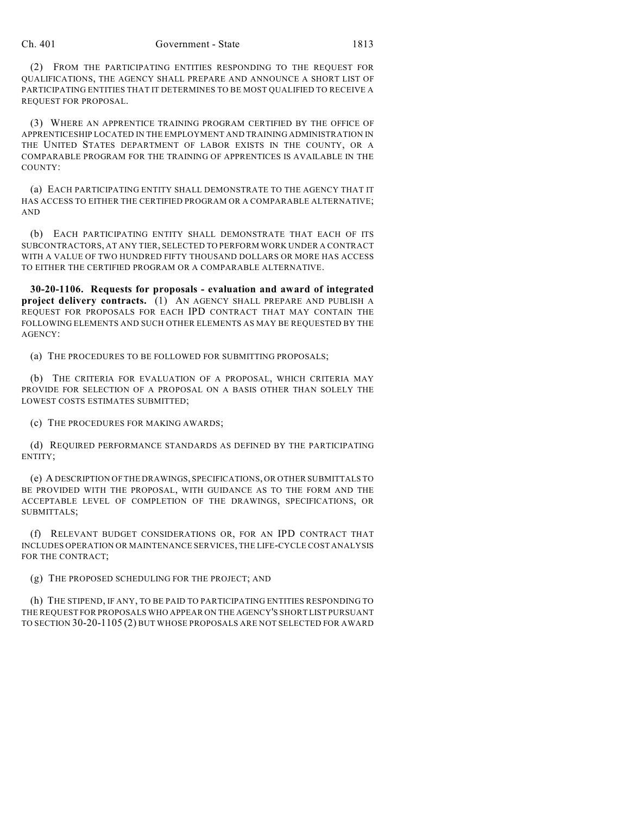(2) FROM THE PARTICIPATING ENTITIES RESPONDING TO THE REQUEST FOR QUALIFICATIONS, THE AGENCY SHALL PREPARE AND ANNOUNCE A SHORT LIST OF PARTICIPATING ENTITIES THAT IT DETERMINES TO BE MOST QUALIFIED TO RECEIVE A REQUEST FOR PROPOSAL.

(3) WHERE AN APPRENTICE TRAINING PROGRAM CERTIFIED BY THE OFFICE OF APPRENTICESHIP LOCATED IN THE EMPLOYMENT AND TRAINING ADMINISTRATION IN THE UNITED STATES DEPARTMENT OF LABOR EXISTS IN THE COUNTY, OR A COMPARABLE PROGRAM FOR THE TRAINING OF APPRENTICES IS AVAILABLE IN THE COUNTY:

(a) EACH PARTICIPATING ENTITY SHALL DEMONSTRATE TO THE AGENCY THAT IT HAS ACCESS TO EITHER THE CERTIFIED PROGRAM OR A COMPARABLE ALTERNATIVE; AND

(b) EACH PARTICIPATING ENTITY SHALL DEMONSTRATE THAT EACH OF ITS SUBCONTRACTORS, AT ANY TIER, SELECTED TO PERFORM WORK UNDER A CONTRACT WITH A VALUE OF TWO HUNDRED FIFTY THOUSAND DOLLARS OR MORE HAS ACCESS TO EITHER THE CERTIFIED PROGRAM OR A COMPARABLE ALTERNATIVE.

**30-20-1106. Requests for proposals - evaluation and award of integrated project delivery contracts.** (1) AN AGENCY SHALL PREPARE AND PUBLISH A REQUEST FOR PROPOSALS FOR EACH IPD CONTRACT THAT MAY CONTAIN THE FOLLOWING ELEMENTS AND SUCH OTHER ELEMENTS AS MAY BE REQUESTED BY THE AGENCY:

(a) THE PROCEDURES TO BE FOLLOWED FOR SUBMITTING PROPOSALS;

(b) THE CRITERIA FOR EVALUATION OF A PROPOSAL, WHICH CRITERIA MAY PROVIDE FOR SELECTION OF A PROPOSAL ON A BASIS OTHER THAN SOLELY THE LOWEST COSTS ESTIMATES SUBMITTED;

(c) THE PROCEDURES FOR MAKING AWARDS;

(d) REQUIRED PERFORMANCE STANDARDS AS DEFINED BY THE PARTICIPATING ENTITY;

(e) A DESCRIPTION OF THE DRAWINGS, SPECIFICATIONS, OR OTHER SUBMITTALS TO BE PROVIDED WITH THE PROPOSAL, WITH GUIDANCE AS TO THE FORM AND THE ACCEPTABLE LEVEL OF COMPLETION OF THE DRAWINGS, SPECIFICATIONS, OR SUBMITTALS;

(f) RELEVANT BUDGET CONSIDERATIONS OR, FOR AN IPD CONTRACT THAT INCLUDES OPERATION OR MAINTENANCE SERVICES, THE LIFE-CYCLE COST ANALYSIS FOR THE CONTRACT;

(g) THE PROPOSED SCHEDULING FOR THE PROJECT; AND

(h) THE STIPEND, IF ANY, TO BE PAID TO PARTICIPATING ENTITIES RESPONDING TO THE REQUEST FOR PROPOSALS WHO APPEAR ON THE AGENCY'S SHORT LIST PURSUANT TO SECTION 30-20-1105 (2) BUT WHOSE PROPOSALS ARE NOT SELECTED FOR AWARD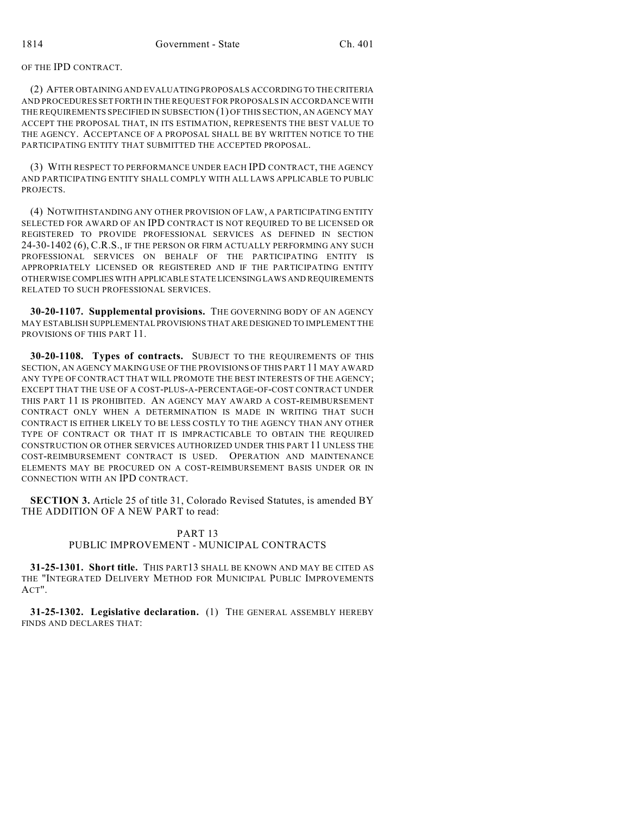## OF THE IPD CONTRACT.

(2) AFTER OBTAINING AND EVALUATING PROPOSALS ACCORDING TO THE CRITERIA AND PROCEDURES SET FORTH IN THE REQUEST FOR PROPOSALS IN ACCORDANCE WITH THE REQUIREMENTS SPECIFIED IN SUBSECTION (1) OF THIS SECTION, AN AGENCY MAY ACCEPT THE PROPOSAL THAT, IN ITS ESTIMATION, REPRESENTS THE BEST VALUE TO THE AGENCY. ACCEPTANCE OF A PROPOSAL SHALL BE BY WRITTEN NOTICE TO THE PARTICIPATING ENTITY THAT SUBMITTED THE ACCEPTED PROPOSAL.

(3) WITH RESPECT TO PERFORMANCE UNDER EACH IPD CONTRACT, THE AGENCY AND PARTICIPATING ENTITY SHALL COMPLY WITH ALL LAWS APPLICABLE TO PUBLIC PROJECTS.

(4) NOTWITHSTANDING ANY OTHER PROVISION OF LAW, A PARTICIPATING ENTITY SELECTED FOR AWARD OF AN IPD CONTRACT IS NOT REQUIRED TO BE LICENSED OR REGISTERED TO PROVIDE PROFESSIONAL SERVICES AS DEFINED IN SECTION 24-30-1402 (6), C.R.S., IF THE PERSON OR FIRM ACTUALLY PERFORMING ANY SUCH PROFESSIONAL SERVICES ON BEHALF OF THE PARTICIPATING ENTITY IS APPROPRIATELY LICENSED OR REGISTERED AND IF THE PARTICIPATING ENTITY OTHERWISE COMPLIES WITH APPLICABLE STATE LICENSING LAWS AND REQUIREMENTS RELATED TO SUCH PROFESSIONAL SERVICES.

**30-20-1107. Supplemental provisions.** THE GOVERNING BODY OF AN AGENCY MAY ESTABLISH SUPPLEMENTAL PROVISIONS THAT ARE DESIGNED TO IMPLEMENT THE PROVISIONS OF THIS PART 11.

**30-20-1108. Types of contracts.** SUBJECT TO THE REQUIREMENTS OF THIS SECTION, AN AGENCY MAKING USE OF THE PROVISIONS OF THIS PART 11 MAY AWARD ANY TYPE OF CONTRACT THAT WILL PROMOTE THE BEST INTERESTS OF THE AGENCY; EXCEPT THAT THE USE OF A COST-PLUS-A-PERCENTAGE-OF-COST CONTRACT UNDER THIS PART 11 IS PROHIBITED. AN AGENCY MAY AWARD A COST-REIMBURSEMENT CONTRACT ONLY WHEN A DETERMINATION IS MADE IN WRITING THAT SUCH CONTRACT IS EITHER LIKELY TO BE LESS COSTLY TO THE AGENCY THAN ANY OTHER TYPE OF CONTRACT OR THAT IT IS IMPRACTICABLE TO OBTAIN THE REQUIRED CONSTRUCTION OR OTHER SERVICES AUTHORIZED UNDER THIS PART 11 UNLESS THE COST-REIMBURSEMENT CONTRACT IS USED. OPERATION AND MAINTENANCE ELEMENTS MAY BE PROCURED ON A COST-REIMBURSEMENT BASIS UNDER OR IN CONNECTION WITH AN IPD CONTRACT.

**SECTION 3.** Article 25 of title 31, Colorado Revised Statutes, is amended BY THE ADDITION OF A NEW PART to read:

## PART 13 PUBLIC IMPROVEMENT - MUNICIPAL CONTRACTS

**31-25-1301. Short title.** THIS PART13 SHALL BE KNOWN AND MAY BE CITED AS THE "INTEGRATED DELIVERY METHOD FOR MUNICIPAL PUBLIC IMPROVEMENTS ACT".

**31-25-1302. Legislative declaration.** (1) THE GENERAL ASSEMBLY HEREBY FINDS AND DECLARES THAT: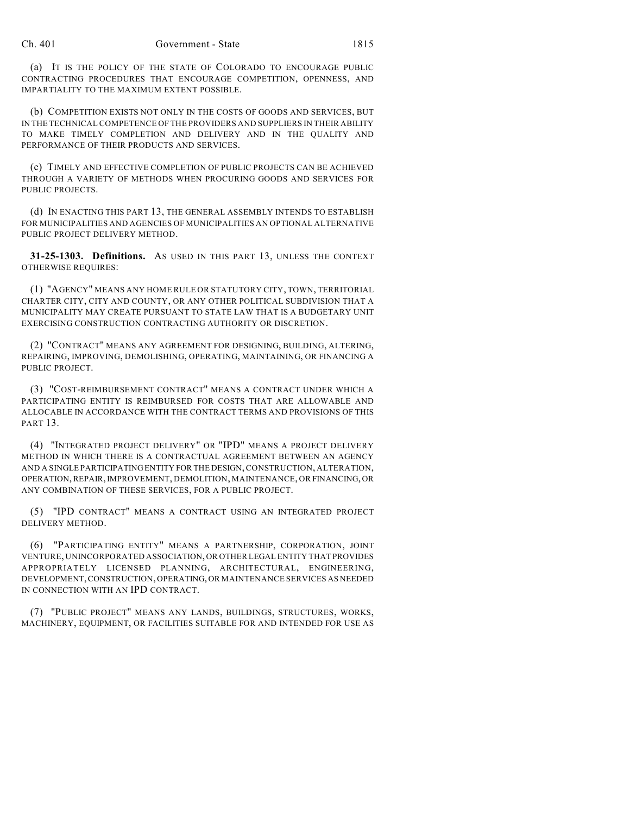(a) IT IS THE POLICY OF THE STATE OF COLORADO TO ENCOURAGE PUBLIC CONTRACTING PROCEDURES THAT ENCOURAGE COMPETITION, OPENNESS, AND IMPARTIALITY TO THE MAXIMUM EXTENT POSSIBLE.

(b) COMPETITION EXISTS NOT ONLY IN THE COSTS OF GOODS AND SERVICES, BUT IN THE TECHNICAL COMPETENCE OF THE PROVIDERS AND SUPPLIERS IN THEIR ABILITY TO MAKE TIMELY COMPLETION AND DELIVERY AND IN THE QUALITY AND PERFORMANCE OF THEIR PRODUCTS AND SERVICES.

(c) TIMELY AND EFFECTIVE COMPLETION OF PUBLIC PROJECTS CAN BE ACHIEVED THROUGH A VARIETY OF METHODS WHEN PROCURING GOODS AND SERVICES FOR PUBLIC PROJECTS.

(d) IN ENACTING THIS PART 13, THE GENERAL ASSEMBLY INTENDS TO ESTABLISH FOR MUNICIPALITIES AND AGENCIES OF MUNICIPALITIES AN OPTIONAL ALTERNATIVE PUBLIC PROJECT DELIVERY METHOD.

**31-25-1303. Definitions.** AS USED IN THIS PART 13, UNLESS THE CONTEXT OTHERWISE REQUIRES:

(1) "AGENCY" MEANS ANY HOME RULE OR STATUTORY CITY, TOWN, TERRITORIAL CHARTER CITY, CITY AND COUNTY, OR ANY OTHER POLITICAL SUBDIVISION THAT A MUNICIPALITY MAY CREATE PURSUANT TO STATE LAW THAT IS A BUDGETARY UNIT EXERCISING CONSTRUCTION CONTRACTING AUTHORITY OR DISCRETION.

(2) "CONTRACT" MEANS ANY AGREEMENT FOR DESIGNING, BUILDING, ALTERING, REPAIRING, IMPROVING, DEMOLISHING, OPERATING, MAINTAINING, OR FINANCING A PUBLIC PROJECT.

(3) "COST-REIMBURSEMENT CONTRACT" MEANS A CONTRACT UNDER WHICH A PARTICIPATING ENTITY IS REIMBURSED FOR COSTS THAT ARE ALLOWABLE AND ALLOCABLE IN ACCORDANCE WITH THE CONTRACT TERMS AND PROVISIONS OF THIS PART 13.

(4) "INTEGRATED PROJECT DELIVERY" OR "IPD" MEANS A PROJECT DELIVERY METHOD IN WHICH THERE IS A CONTRACTUAL AGREEMENT BETWEEN AN AGENCY AND A SINGLE PARTICIPATING ENTITY FOR THE DESIGN, CONSTRUCTION, ALTERATION, OPERATION, REPAIR, IMPROVEMENT, DEMOLITION, MAINTENANCE, OR FINANCING, OR ANY COMBINATION OF THESE SERVICES, FOR A PUBLIC PROJECT.

(5) "IPD CONTRACT" MEANS A CONTRACT USING AN INTEGRATED PROJECT DELIVERY METHOD.

(6) "PARTICIPATING ENTITY" MEANS A PARTNERSHIP, CORPORATION, JOINT VENTURE, UNINCORPORATED ASSOCIATION, OR OTHER LEGAL ENTITY THAT PROVIDES APPROPRIATELY LICENSED PLANNING, ARCHITECTURAL, ENGINEERING, DEVELOPMENT, CONSTRUCTION, OPERATING, OR MAINTENANCE SERVICES AS NEEDED IN CONNECTION WITH AN IPD CONTRACT.

(7) "PUBLIC PROJECT" MEANS ANY LANDS, BUILDINGS, STRUCTURES, WORKS, MACHINERY, EQUIPMENT, OR FACILITIES SUITABLE FOR AND INTENDED FOR USE AS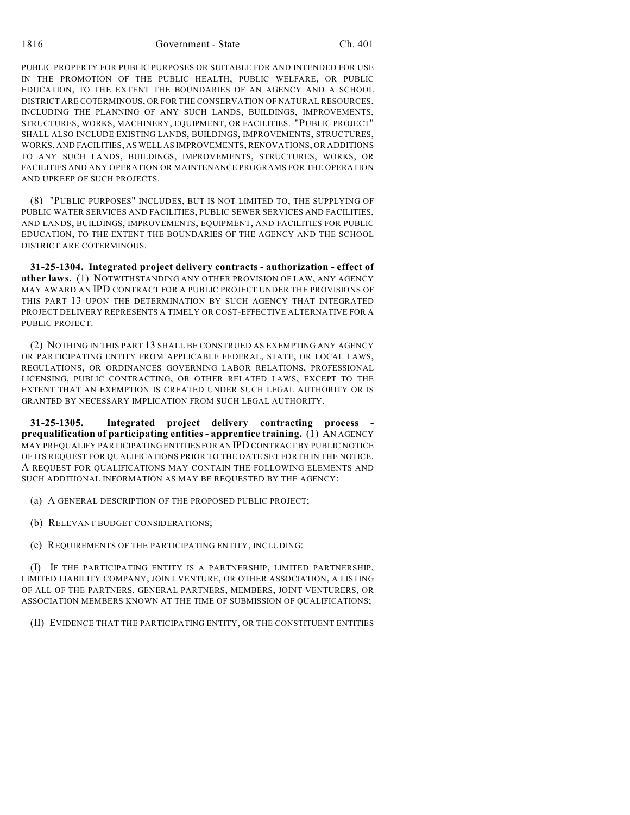PUBLIC PROPERTY FOR PUBLIC PURPOSES OR SUITABLE FOR AND INTENDED FOR USE IN THE PROMOTION OF THE PUBLIC HEALTH, PUBLIC WELFARE, OR PUBLIC EDUCATION, TO THE EXTENT THE BOUNDARIES OF AN AGENCY AND A SCHOOL DISTRICT ARE COTERMINOUS, OR FOR THE CONSERVATION OF NATURAL RESOURCES, INCLUDING THE PLANNING OF ANY SUCH LANDS, BUILDINGS, IMPROVEMENTS, STRUCTURES, WORKS, MACHINERY, EQUIPMENT, OR FACILITIES. "PUBLIC PROJECT" SHALL ALSO INCLUDE EXISTING LANDS, BUILDINGS, IMPROVEMENTS, STRUCTURES, WORKS, AND FACILITIES, AS WELL AS IMPROVEMENTS, RENOVATIONS, OR ADDITIONS TO ANY SUCH LANDS, BUILDINGS, IMPROVEMENTS, STRUCTURES, WORKS, OR FACILITIES AND ANY OPERATION OR MAINTENANCE PROGRAMS FOR THE OPERATION AND UPKEEP OF SUCH PROJECTS.

(8) "PUBLIC PURPOSES" INCLUDES, BUT IS NOT LIMITED TO, THE SUPPLYING OF PUBLIC WATER SERVICES AND FACILITIES, PUBLIC SEWER SERVICES AND FACILITIES, AND LANDS, BUILDINGS, IMPROVEMENTS, EQUIPMENT, AND FACILITIES FOR PUBLIC EDUCATION, TO THE EXTENT THE BOUNDARIES OF THE AGENCY AND THE SCHOOL DISTRICT ARE COTERMINOUS.

**31-25-1304. Integrated project delivery contracts - authorization - effect of other laws.** (1) NOTWITHSTANDING ANY OTHER PROVISION OF LAW, ANY AGENCY MAY AWARD AN IPD CONTRACT FOR A PUBLIC PROJECT UNDER THE PROVISIONS OF THIS PART 13 UPON THE DETERMINATION BY SUCH AGENCY THAT INTEGRATED PROJECT DELIVERY REPRESENTS A TIMELY OR COST-EFFECTIVE ALTERNATIVE FOR A PUBLIC PROJECT.

(2) NOTHING IN THIS PART 13 SHALL BE CONSTRUED AS EXEMPTING ANY AGENCY OR PARTICIPATING ENTITY FROM APPLICABLE FEDERAL, STATE, OR LOCAL LAWS, REGULATIONS, OR ORDINANCES GOVERNING LABOR RELATIONS, PROFESSIONAL LICENSING, PUBLIC CONTRACTING, OR OTHER RELATED LAWS, EXCEPT TO THE EXTENT THAT AN EXEMPTION IS CREATED UNDER SUCH LEGAL AUTHORITY OR IS GRANTED BY NECESSARY IMPLICATION FROM SUCH LEGAL AUTHORITY.

**31-25-1305. Integrated project delivery contracting process prequalification of participating entities - apprentice training.** (1) AN AGENCY MAY PREQUALIFY PARTICIPATING ENTITIES FOR AN IPD CONTRACT BY PUBLIC NOTICE OF ITS REQUEST FOR QUALIFICATIONS PRIOR TO THE DATE SET FORTH IN THE NOTICE. A REQUEST FOR QUALIFICATIONS MAY CONTAIN THE FOLLOWING ELEMENTS AND SUCH ADDITIONAL INFORMATION AS MAY BE REQUESTED BY THE AGENCY:

(a) A GENERAL DESCRIPTION OF THE PROPOSED PUBLIC PROJECT;

(b) RELEVANT BUDGET CONSIDERATIONS;

(c) REQUIREMENTS OF THE PARTICIPATING ENTITY, INCLUDING:

(I) IF THE PARTICIPATING ENTITY IS A PARTNERSHIP, LIMITED PARTNERSHIP, LIMITED LIABILITY COMPANY, JOINT VENTURE, OR OTHER ASSOCIATION, A LISTING OF ALL OF THE PARTNERS, GENERAL PARTNERS, MEMBERS, JOINT VENTURERS, OR ASSOCIATION MEMBERS KNOWN AT THE TIME OF SUBMISSION OF QUALIFICATIONS;

(II) EVIDENCE THAT THE PARTICIPATING ENTITY, OR THE CONSTITUENT ENTITIES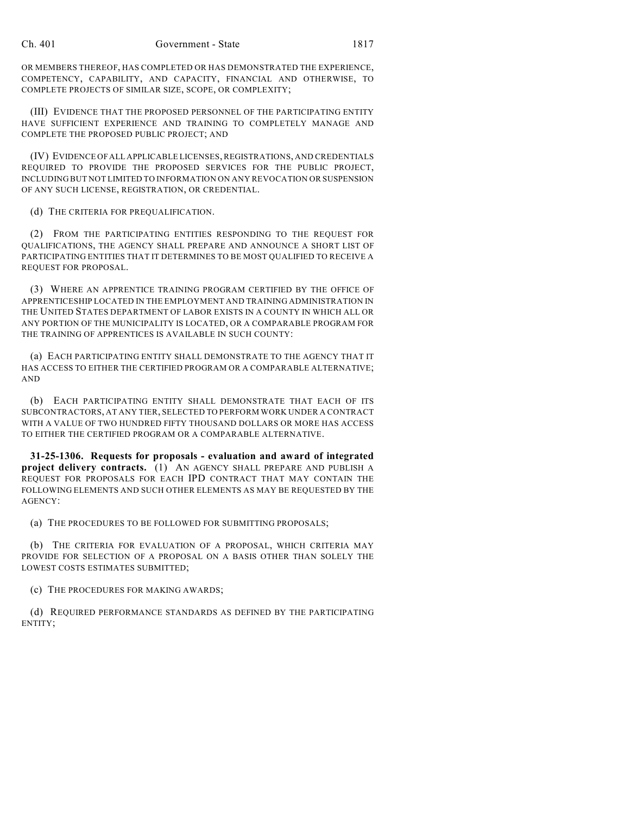OR MEMBERS THEREOF, HAS COMPLETED OR HAS DEMONSTRATED THE EXPERIENCE, COMPETENCY, CAPABILITY, AND CAPACITY, FINANCIAL AND OTHERWISE, TO COMPLETE PROJECTS OF SIMILAR SIZE, SCOPE, OR COMPLEXITY;

(III) EVIDENCE THAT THE PROPOSED PERSONNEL OF THE PARTICIPATING ENTITY HAVE SUFFICIENT EXPERIENCE AND TRAINING TO COMPLETELY MANAGE AND COMPLETE THE PROPOSED PUBLIC PROJECT; AND

(IV) EVIDENCE OF ALL APPLICABLE LICENSES, REGISTRATIONS, AND CREDENTIALS REQUIRED TO PROVIDE THE PROPOSED SERVICES FOR THE PUBLIC PROJECT, INCLUDING BUT NOT LIMITED TO INFORMATION ON ANY REVOCATION OR SUSPENSION OF ANY SUCH LICENSE, REGISTRATION, OR CREDENTIAL.

(d) THE CRITERIA FOR PREQUALIFICATION.

(2) FROM THE PARTICIPATING ENTITIES RESPONDING TO THE REQUEST FOR QUALIFICATIONS, THE AGENCY SHALL PREPARE AND ANNOUNCE A SHORT LIST OF PARTICIPATING ENTITIES THAT IT DETERMINES TO BE MOST QUALIFIED TO RECEIVE A REQUEST FOR PROPOSAL.

(3) WHERE AN APPRENTICE TRAINING PROGRAM CERTIFIED BY THE OFFICE OF APPRENTICESHIP LOCATED IN THE EMPLOYMENT AND TRAINING ADMINISTRATION IN THE UNITED STATES DEPARTMENT OF LABOR EXISTS IN A COUNTY IN WHICH ALL OR ANY PORTION OF THE MUNICIPALITY IS LOCATED, OR A COMPARABLE PROGRAM FOR THE TRAINING OF APPRENTICES IS AVAILABLE IN SUCH COUNTY:

(a) EACH PARTICIPATING ENTITY SHALL DEMONSTRATE TO THE AGENCY THAT IT HAS ACCESS TO EITHER THE CERTIFIED PROGRAM OR A COMPARABLE ALTERNATIVE; AND

(b) EACH PARTICIPATING ENTITY SHALL DEMONSTRATE THAT EACH OF ITS SUBCONTRACTORS, AT ANY TIER, SELECTED TO PERFORM WORK UNDER A CONTRACT WITH A VALUE OF TWO HUNDRED FIFTY THOUSAND DOLLARS OR MORE HAS ACCESS TO EITHER THE CERTIFIED PROGRAM OR A COMPARABLE ALTERNATIVE.

**31-25-1306. Requests for proposals - evaluation and award of integrated project delivery contracts.** (1) AN AGENCY SHALL PREPARE AND PUBLISH A REQUEST FOR PROPOSALS FOR EACH IPD CONTRACT THAT MAY CONTAIN THE FOLLOWING ELEMENTS AND SUCH OTHER ELEMENTS AS MAY BE REQUESTED BY THE AGENCY:

(a) THE PROCEDURES TO BE FOLLOWED FOR SUBMITTING PROPOSALS;

(b) THE CRITERIA FOR EVALUATION OF A PROPOSAL, WHICH CRITERIA MAY PROVIDE FOR SELECTION OF A PROPOSAL ON A BASIS OTHER THAN SOLELY THE LOWEST COSTS ESTIMATES SUBMITTED;

(c) THE PROCEDURES FOR MAKING AWARDS;

(d) REQUIRED PERFORMANCE STANDARDS AS DEFINED BY THE PARTICIPATING ENTITY;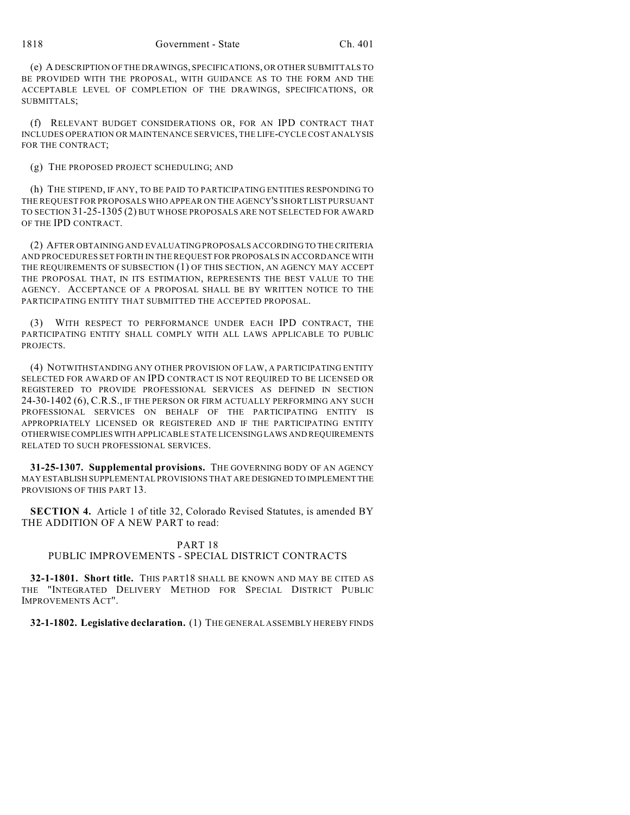(e) A DESCRIPTION OF THE DRAWINGS, SPECIFICATIONS, OR OTHER SUBMITTALS TO BE PROVIDED WITH THE PROPOSAL, WITH GUIDANCE AS TO THE FORM AND THE ACCEPTABLE LEVEL OF COMPLETION OF THE DRAWINGS, SPECIFICATIONS, OR SUBMITTALS;

(f) RELEVANT BUDGET CONSIDERATIONS OR, FOR AN IPD CONTRACT THAT INCLUDES OPERATION OR MAINTENANCE SERVICES, THE LIFE-CYCLE COST ANALYSIS FOR THE CONTRACT;

### (g) THE PROPOSED PROJECT SCHEDULING; AND

(h) THE STIPEND, IF ANY, TO BE PAID TO PARTICIPATING ENTITIES RESPONDING TO THE REQUEST FOR PROPOSALS WHO APPEAR ON THE AGENCY'S SHORT LIST PURSUANT TO SECTION 31-25-1305 (2) BUT WHOSE PROPOSALS ARE NOT SELECTED FOR AWARD OF THE IPD CONTRACT.

(2) AFTER OBTAINING AND EVALUATING PROPOSALS ACCORDING TO THE CRITERIA AND PROCEDURES SET FORTH IN THE REQUEST FOR PROPOSALS IN ACCORDANCE WITH THE REQUIREMENTS OF SUBSECTION (1) OF THIS SECTION, AN AGENCY MAY ACCEPT THE PROPOSAL THAT, IN ITS ESTIMATION, REPRESENTS THE BEST VALUE TO THE AGENCY. ACCEPTANCE OF A PROPOSAL SHALL BE BY WRITTEN NOTICE TO THE PARTICIPATING ENTITY THAT SUBMITTED THE ACCEPTED PROPOSAL.

(3) WITH RESPECT TO PERFORMANCE UNDER EACH IPD CONTRACT, THE PARTICIPATING ENTITY SHALL COMPLY WITH ALL LAWS APPLICABLE TO PUBLIC PROJECTS.

(4) NOTWITHSTANDING ANY OTHER PROVISION OF LAW, A PARTICIPATING ENTITY SELECTED FOR AWARD OF AN IPD CONTRACT IS NOT REQUIRED TO BE LICENSED OR REGISTERED TO PROVIDE PROFESSIONAL SERVICES AS DEFINED IN SECTION 24-30-1402 (6), C.R.S., IF THE PERSON OR FIRM ACTUALLY PERFORMING ANY SUCH PROFESSIONAL SERVICES ON BEHALF OF THE PARTICIPATING ENTITY IS APPROPRIATELY LICENSED OR REGISTERED AND IF THE PARTICIPATING ENTITY OTHERWISE COMPLIES WITH APPLICABLE STATE LICENSING LAWS AND REQUIREMENTS RELATED TO SUCH PROFESSIONAL SERVICES.

**31-25-1307. Supplemental provisions.** THE GOVERNING BODY OF AN AGENCY MAY ESTABLISH SUPPLEMENTAL PROVISIONS THAT ARE DESIGNED TO IMPLEMENT THE PROVISIONS OF THIS PART 13.

**SECTION 4.** Article 1 of title 32, Colorado Revised Statutes, is amended BY THE ADDITION OF A NEW PART to read:

### PART 18

# PUBLIC IMPROVEMENTS - SPECIAL DISTRICT CONTRACTS

**32-1-1801. Short title.** THIS PART18 SHALL BE KNOWN AND MAY BE CITED AS THE "INTEGRATED DELIVERY METHOD FOR SPECIAL DISTRICT PUBLIC IMPROVEMENTS ACT".

**32-1-1802. Legislative declaration.** (1) THE GENERAL ASSEMBLY HEREBY FINDS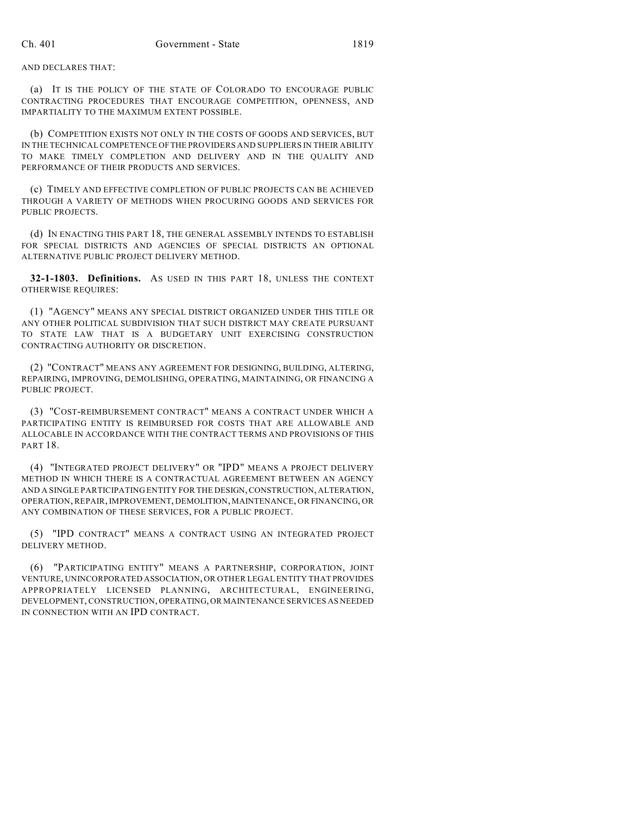#### AND DECLARES THAT:

(a) IT IS THE POLICY OF THE STATE OF COLORADO TO ENCOURAGE PUBLIC CONTRACTING PROCEDURES THAT ENCOURAGE COMPETITION, OPENNESS, AND IMPARTIALITY TO THE MAXIMUM EXTENT POSSIBLE.

(b) COMPETITION EXISTS NOT ONLY IN THE COSTS OF GOODS AND SERVICES, BUT IN THE TECHNICAL COMPETENCE OF THE PROVIDERS AND SUPPLIERS IN THEIR ABILITY TO MAKE TIMELY COMPLETION AND DELIVERY AND IN THE QUALITY AND PERFORMANCE OF THEIR PRODUCTS AND SERVICES.

(c) TIMELY AND EFFECTIVE COMPLETION OF PUBLIC PROJECTS CAN BE ACHIEVED THROUGH A VARIETY OF METHODS WHEN PROCURING GOODS AND SERVICES FOR PUBLIC PROJECTS.

(d) IN ENACTING THIS PART 18, THE GENERAL ASSEMBLY INTENDS TO ESTABLISH FOR SPECIAL DISTRICTS AND AGENCIES OF SPECIAL DISTRICTS AN OPTIONAL ALTERNATIVE PUBLIC PROJECT DELIVERY METHOD.

**32-1-1803. Definitions.** AS USED IN THIS PART 18, UNLESS THE CONTEXT OTHERWISE REQUIRES:

(1) "AGENCY" MEANS ANY SPECIAL DISTRICT ORGANIZED UNDER THIS TITLE OR ANY OTHER POLITICAL SUBDIVISION THAT SUCH DISTRICT MAY CREATE PURSUANT TO STATE LAW THAT IS A BUDGETARY UNIT EXERCISING CONSTRUCTION CONTRACTING AUTHORITY OR DISCRETION.

(2) "CONTRACT" MEANS ANY AGREEMENT FOR DESIGNING, BUILDING, ALTERING, REPAIRING, IMPROVING, DEMOLISHING, OPERATING, MAINTAINING, OR FINANCING A PUBLIC PROJECT.

(3) "COST-REIMBURSEMENT CONTRACT" MEANS A CONTRACT UNDER WHICH A PARTICIPATING ENTITY IS REIMBURSED FOR COSTS THAT ARE ALLOWABLE AND ALLOCABLE IN ACCORDANCE WITH THE CONTRACT TERMS AND PROVISIONS OF THIS PART 18.

(4) "INTEGRATED PROJECT DELIVERY" OR "IPD" MEANS A PROJECT DELIVERY METHOD IN WHICH THERE IS A CONTRACTUAL AGREEMENT BETWEEN AN AGENCY AND A SINGLE PARTICIPATING ENTITY FOR THE DESIGN, CONSTRUCTION, ALTERATION, OPERATION, REPAIR, IMPROVEMENT, DEMOLITION, MAINTENANCE, OR FINANCING, OR ANY COMBINATION OF THESE SERVICES, FOR A PUBLIC PROJECT.

(5) "IPD CONTRACT" MEANS A CONTRACT USING AN INTEGRATED PROJECT DELIVERY METHOD.

(6) "PARTICIPATING ENTITY" MEANS A PARTNERSHIP, CORPORATION, JOINT VENTURE, UNINCORPORATED ASSOCIATION, OR OTHER LEGAL ENTITY THAT PROVIDES APPROPRIATELY LICENSED PLANNING, ARCHITECTURAL, ENGINEERING, DEVELOPMENT, CONSTRUCTION, OPERATING, OR MAINTENANCE SERVICES AS NEEDED IN CONNECTION WITH AN IPD CONTRACT.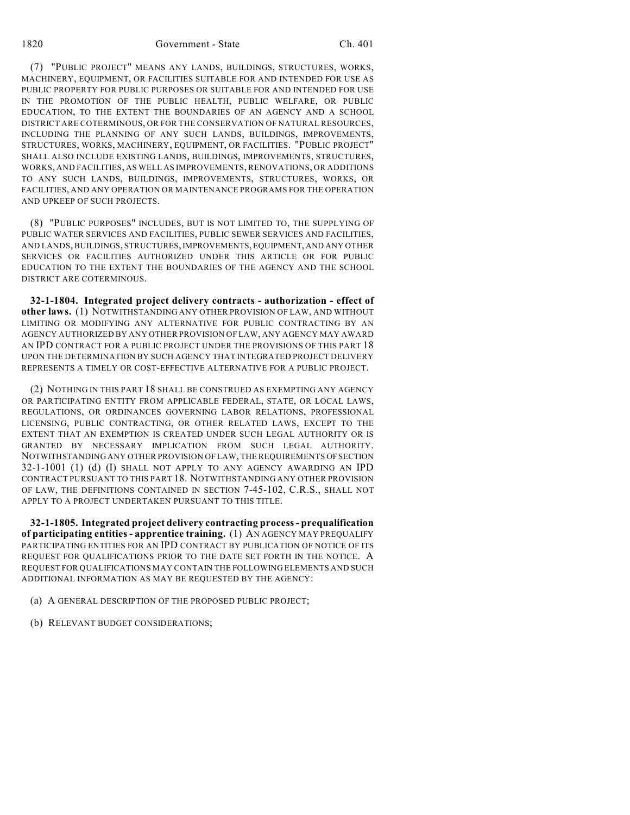(7) "PUBLIC PROJECT" MEANS ANY LANDS, BUILDINGS, STRUCTURES, WORKS, MACHINERY, EQUIPMENT, OR FACILITIES SUITABLE FOR AND INTENDED FOR USE AS PUBLIC PROPERTY FOR PUBLIC PURPOSES OR SUITABLE FOR AND INTENDED FOR USE IN THE PROMOTION OF THE PUBLIC HEALTH, PUBLIC WELFARE, OR PUBLIC EDUCATION, TO THE EXTENT THE BOUNDARIES OF AN AGENCY AND A SCHOOL DISTRICT ARE COTERMINOUS, OR FOR THE CONSERVATION OF NATURAL RESOURCES, INCLUDING THE PLANNING OF ANY SUCH LANDS, BUILDINGS, IMPROVEMENTS, STRUCTURES, WORKS, MACHINERY, EQUIPMENT, OR FACILITIES. "PUBLIC PROJECT" SHALL ALSO INCLUDE EXISTING LANDS, BUILDINGS, IMPROVEMENTS, STRUCTURES, WORKS, AND FACILITIES, AS WELL AS IMPROVEMENTS, RENOVATIONS, OR ADDITIONS TO ANY SUCH LANDS, BUILDINGS, IMPROVEMENTS, STRUCTURES, WORKS, OR FACILITIES, AND ANY OPERATION OR MAINTENANCE PROGRAMS FOR THE OPERATION AND UPKEEP OF SUCH PROJECTS.

(8) "PUBLIC PURPOSES" INCLUDES, BUT IS NOT LIMITED TO, THE SUPPLYING OF PUBLIC WATER SERVICES AND FACILITIES, PUBLIC SEWER SERVICES AND FACILITIES, AND LANDS, BUILDINGS, STRUCTURES, IMPROVEMENTS, EQUIPMENT, AND ANY OTHER SERVICES OR FACILITIES AUTHORIZED UNDER THIS ARTICLE OR FOR PUBLIC EDUCATION TO THE EXTENT THE BOUNDARIES OF THE AGENCY AND THE SCHOOL DISTRICT ARE COTERMINOUS.

**32-1-1804. Integrated project delivery contracts - authorization - effect of other laws.** (1) NOTWITHSTANDING ANY OTHER PROVISION OF LAW, AND WITHOUT LIMITING OR MODIFYING ANY ALTERNATIVE FOR PUBLIC CONTRACTING BY AN AGENCY AUTHORIZED BY ANY OTHER PROVISION OF LAW, ANY AGENCY MAY AWARD AN IPD CONTRACT FOR A PUBLIC PROJECT UNDER THE PROVISIONS OF THIS PART 18 UPON THE DETERMINATION BY SUCH AGENCY THAT INTEGRATED PROJECT DELIVERY REPRESENTS A TIMELY OR COST-EFFECTIVE ALTERNATIVE FOR A PUBLIC PROJECT.

(2) NOTHING IN THIS PART 18 SHALL BE CONSTRUED AS EXEMPTING ANY AGENCY OR PARTICIPATING ENTITY FROM APPLICABLE FEDERAL, STATE, OR LOCAL LAWS, REGULATIONS, OR ORDINANCES GOVERNING LABOR RELATIONS, PROFESSIONAL LICENSING, PUBLIC CONTRACTING, OR OTHER RELATED LAWS, EXCEPT TO THE EXTENT THAT AN EXEMPTION IS CREATED UNDER SUCH LEGAL AUTHORITY OR IS GRANTED BY NECESSARY IMPLICATION FROM SUCH LEGAL AUTHORITY. NOTWITHSTANDING ANY OTHER PROVISION OF LAW, THE REQUIREMENTS OF SECTION 32-1-1001 (1) (d) (I) SHALL NOT APPLY TO ANY AGENCY AWARDING AN IPD CONTRACT PURSUANT TO THIS PART 18. NOTWITHSTANDING ANY OTHER PROVISION OF LAW, THE DEFINITIONS CONTAINED IN SECTION 7-45-102, C.R.S., SHALL NOT APPLY TO A PROJECT UNDERTAKEN PURSUANT TO THIS TITLE.

**32-1-1805. Integrated project delivery contracting process - prequalification of participating entities - apprentice training.** (1) AN AGENCY MAY PREQUALIFY PARTICIPATING ENTITIES FOR AN IPD CONTRACT BY PUBLICATION OF NOTICE OF ITS REQUEST FOR QUALIFICATIONS PRIOR TO THE DATE SET FORTH IN THE NOTICE. A REQUEST FOR QUALIFICATIONS MAY CONTAIN THE FOLLOWING ELEMENTS AND SUCH ADDITIONAL INFORMATION AS MAY BE REQUESTED BY THE AGENCY:

- (a) A GENERAL DESCRIPTION OF THE PROPOSED PUBLIC PROJECT;
- (b) RELEVANT BUDGET CONSIDERATIONS;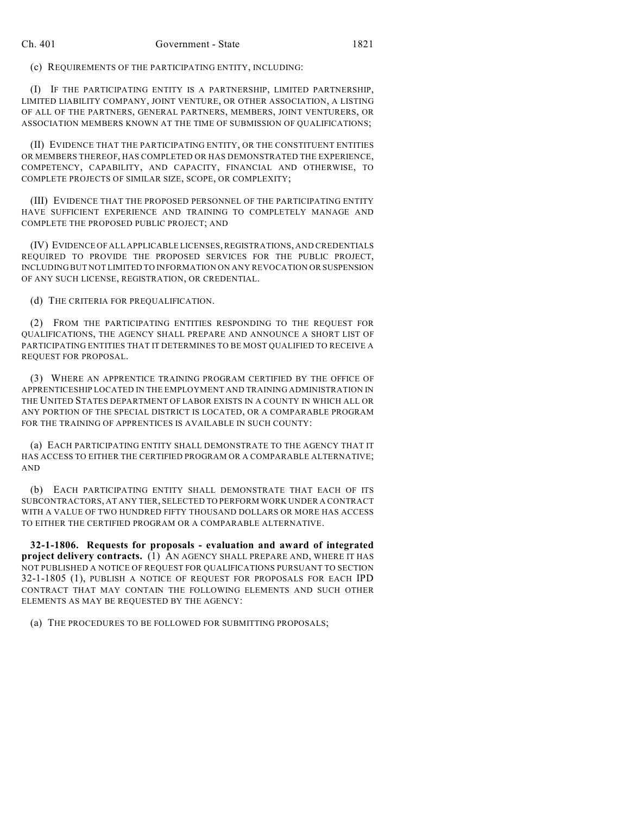(c) REQUIREMENTS OF THE PARTICIPATING ENTITY, INCLUDING:

(I) IF THE PARTICIPATING ENTITY IS A PARTNERSHIP, LIMITED PARTNERSHIP, LIMITED LIABILITY COMPANY, JOINT VENTURE, OR OTHER ASSOCIATION, A LISTING OF ALL OF THE PARTNERS, GENERAL PARTNERS, MEMBERS, JOINT VENTURERS, OR ASSOCIATION MEMBERS KNOWN AT THE TIME OF SUBMISSION OF QUALIFICATIONS;

(II) EVIDENCE THAT THE PARTICIPATING ENTITY, OR THE CONSTITUENT ENTITIES OR MEMBERS THEREOF, HAS COMPLETED OR HAS DEMONSTRATED THE EXPERIENCE, COMPETENCY, CAPABILITY, AND CAPACITY, FINANCIAL AND OTHERWISE, TO COMPLETE PROJECTS OF SIMILAR SIZE, SCOPE, OR COMPLEXITY;

(III) EVIDENCE THAT THE PROPOSED PERSONNEL OF THE PARTICIPATING ENTITY HAVE SUFFICIENT EXPERIENCE AND TRAINING TO COMPLETELY MANAGE AND COMPLETE THE PROPOSED PUBLIC PROJECT; AND

(IV) EVIDENCE OF ALL APPLICABLE LICENSES, REGISTRATIONS, AND CREDENTIALS REQUIRED TO PROVIDE THE PROPOSED SERVICES FOR THE PUBLIC PROJECT, INCLUDING BUT NOT LIMITED TO INFORMATION ON ANY REVOCATION OR SUSPENSION OF ANY SUCH LICENSE, REGISTRATION, OR CREDENTIAL.

(d) THE CRITERIA FOR PREQUALIFICATION.

(2) FROM THE PARTICIPATING ENTITIES RESPONDING TO THE REQUEST FOR QUALIFICATIONS, THE AGENCY SHALL PREPARE AND ANNOUNCE A SHORT LIST OF PARTICIPATING ENTITIES THAT IT DETERMINES TO BE MOST QUALIFIED TO RECEIVE A REQUEST FOR PROPOSAL.

(3) WHERE AN APPRENTICE TRAINING PROGRAM CERTIFIED BY THE OFFICE OF APPRENTICESHIP LOCATED IN THE EMPLOYMENT AND TRAINING ADMINISTRATION IN THE UNITED STATES DEPARTMENT OF LABOR EXISTS IN A COUNTY IN WHICH ALL OR ANY PORTION OF THE SPECIAL DISTRICT IS LOCATED, OR A COMPARABLE PROGRAM FOR THE TRAINING OF APPRENTICES IS AVAILABLE IN SUCH COUNTY:

(a) EACH PARTICIPATING ENTITY SHALL DEMONSTRATE TO THE AGENCY THAT IT HAS ACCESS TO EITHER THE CERTIFIED PROGRAM OR A COMPARABLE ALTERNATIVE; AND

(b) EACH PARTICIPATING ENTITY SHALL DEMONSTRATE THAT EACH OF ITS SUBCONTRACTORS, AT ANY TIER, SELECTED TO PERFORM WORK UNDER A CONTRACT WITH A VALUE OF TWO HUNDRED FIFTY THOUSAND DOLLARS OR MORE HAS ACCESS TO EITHER THE CERTIFIED PROGRAM OR A COMPARABLE ALTERNATIVE.

**32-1-1806. Requests for proposals - evaluation and award of integrated project delivery contracts.** (1) AN AGENCY SHALL PREPARE AND, WHERE IT HAS NOT PUBLISHED A NOTICE OF REQUEST FOR QUALIFICATIONS PURSUANT TO SECTION 32-1-1805 (1), PUBLISH A NOTICE OF REQUEST FOR PROPOSALS FOR EACH IPD CONTRACT THAT MAY CONTAIN THE FOLLOWING ELEMENTS AND SUCH OTHER ELEMENTS AS MAY BE REQUESTED BY THE AGENCY:

(a) THE PROCEDURES TO BE FOLLOWED FOR SUBMITTING PROPOSALS;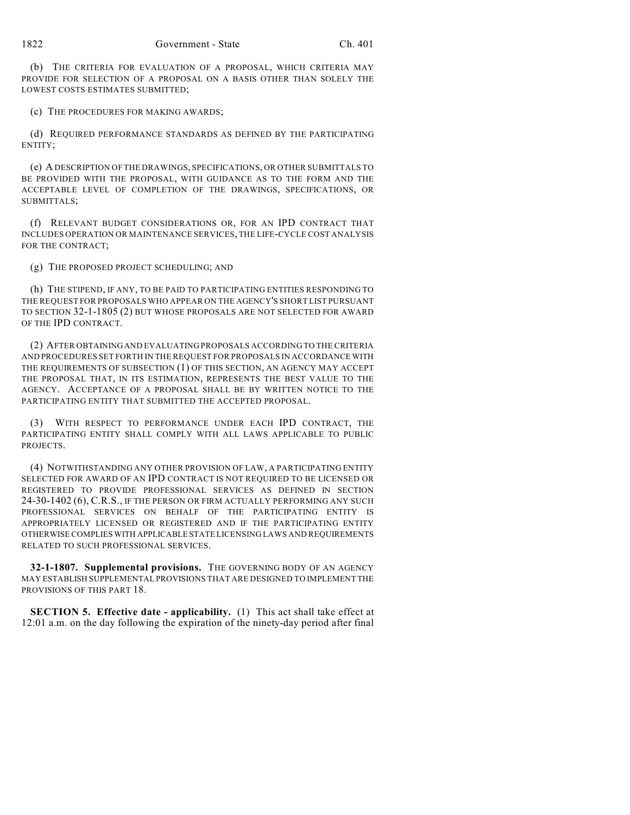(b) THE CRITERIA FOR EVALUATION OF A PROPOSAL, WHICH CRITERIA MAY PROVIDE FOR SELECTION OF A PROPOSAL ON A BASIS OTHER THAN SOLELY THE LOWEST COSTS ESTIMATES SUBMITTED;

(c) THE PROCEDURES FOR MAKING AWARDS;

(d) REQUIRED PERFORMANCE STANDARDS AS DEFINED BY THE PARTICIPATING ENTITY;

(e) A DESCRIPTION OF THE DRAWINGS, SPECIFICATIONS, OR OTHER SUBMITTALS TO BE PROVIDED WITH THE PROPOSAL, WITH GUIDANCE AS TO THE FORM AND THE ACCEPTABLE LEVEL OF COMPLETION OF THE DRAWINGS, SPECIFICATIONS, OR SUBMITTALS;

(f) RELEVANT BUDGET CONSIDERATIONS OR, FOR AN IPD CONTRACT THAT INCLUDES OPERATION OR MAINTENANCE SERVICES, THE LIFE-CYCLE COST ANALYSIS FOR THE CONTRACT;

(g) THE PROPOSED PROJECT SCHEDULING; AND

(h) THE STIPEND, IF ANY, TO BE PAID TO PARTICIPATING ENTITIES RESPONDING TO THE REQUEST FOR PROPOSALS WHO APPEAR ON THE AGENCY'S SHORT LIST PURSUANT TO SECTION 32-1-1805 (2) BUT WHOSE PROPOSALS ARE NOT SELECTED FOR AWARD OF THE IPD CONTRACT.

(2) AFTER OBTAINING AND EVALUATING PROPOSALS ACCORDING TO THE CRITERIA AND PROCEDURES SET FORTH IN THE REQUEST FOR PROPOSALS IN ACCORDANCE WITH THE REQUIREMENTS OF SUBSECTION (1) OF THIS SECTION, AN AGENCY MAY ACCEPT THE PROPOSAL THAT, IN ITS ESTIMATION, REPRESENTS THE BEST VALUE TO THE AGENCY. ACCEPTANCE OF A PROPOSAL SHALL BE BY WRITTEN NOTICE TO THE PARTICIPATING ENTITY THAT SUBMITTED THE ACCEPTED PROPOSAL.

(3) WITH RESPECT TO PERFORMANCE UNDER EACH IPD CONTRACT, THE PARTICIPATING ENTITY SHALL COMPLY WITH ALL LAWS APPLICABLE TO PUBLIC PROJECTS.

(4) NOTWITHSTANDING ANY OTHER PROVISION OF LAW, A PARTICIPATING ENTITY SELECTED FOR AWARD OF AN IPD CONTRACT IS NOT REQUIRED TO BE LICENSED OR REGISTERED TO PROVIDE PROFESSIONAL SERVICES AS DEFINED IN SECTION 24-30-1402 (6), C.R.S., IF THE PERSON OR FIRM ACTUALLY PERFORMING ANY SUCH PROFESSIONAL SERVICES ON BEHALF OF THE PARTICIPATING ENTITY IS APPROPRIATELY LICENSED OR REGISTERED AND IF THE PARTICIPATING ENTITY OTHERWISE COMPLIES WITH APPLICABLE STATE LICENSING LAWS AND REQUIREMENTS RELATED TO SUCH PROFESSIONAL SERVICES.

**32-1-1807. Supplemental provisions.** THE GOVERNING BODY OF AN AGENCY MAY ESTABLISH SUPPLEMENTAL PROVISIONS THAT ARE DESIGNED TO IMPLEMENT THE PROVISIONS OF THIS PART 18.

**SECTION 5. Effective date - applicability.** (1) This act shall take effect at 12:01 a.m. on the day following the expiration of the ninety-day period after final